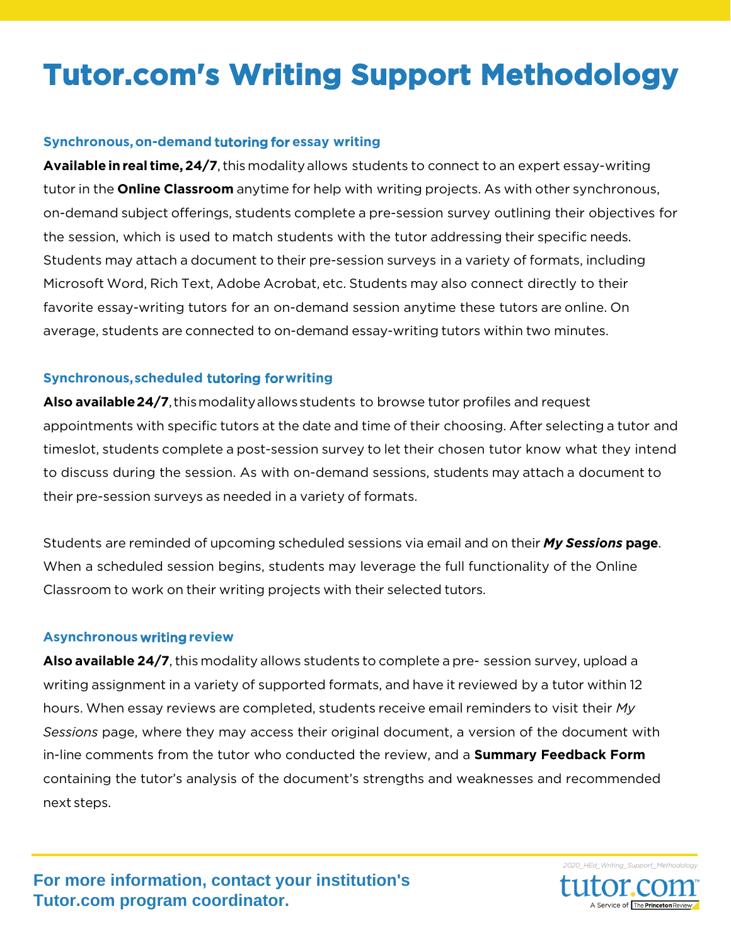# **Tutor.com's Writing Support Methodology**

## **Synchronous, on-demand** tutoring for **essay writing**

**Available in real time, 24/7**, this modality allows students to connect to an expert essay-writing tutor in the **Online Classroom** anytime for help with writing projects. As with other synchronous, on-demand subject offerings, students complete a pre-session survey outlining their objectives for the session, which is used to match students with the tutor addressing their specific needs. Students may attach a document to their pre-session surveys in a variety of formats, including Microsoft Word, Rich Text, Adobe Acrobat, etc. Students may also connect directly to their favorite essay-writing tutors for an on-demand session anytime these tutors are online. On average, students are connected to on-demand essay-writing tutors within two minutes.

## **Synchronous, scheduled** tutoring for**writing**

**Also available24/7**, thismodalityallowsstudents to browse tutor profiles and request appointments with specific tutors at the date and time of their choosing. After selecting a tutor and timeslot, students complete a post-session survey to let their chosen tutor know what they intend to discuss during the session. As with on-demand sessions, students may attach a document to their pre-session surveys as needed in a variety of formats.

Students are reminded of upcoming scheduled sessions via email and on their *My Sessions* **page**. When a scheduled session begins, students may leverage the full functionality of the Online Classroom to work on their writing projects with their selected tutors.

### **Asynchronous** writing**review**

**Also available 24/7**, this modality allows students to complete a pre- session survey, upload a writing assignment in a variety of supported formats, and have it reviewed by a tutor within 12 hours. When essay reviews are completed, students receive email reminders to visit their *My Sessions* page, where they may access their original document, a version of the document with in-line comments from the tutor who conducted the review, and a **Summary Feedback Form** containing the tutor's analysis of the document's strengths and weaknesses and recommended next steps.

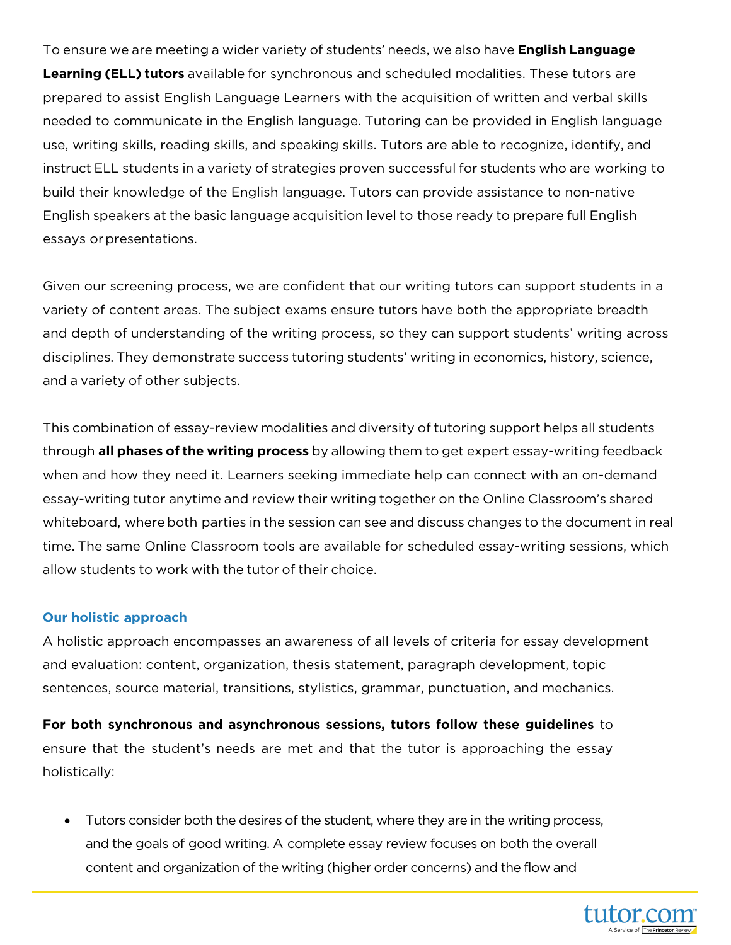To ensure we are meeting a wider variety of students' needs, we also have **English Language Learning (ELL) tutors** available for synchronous and scheduled modalities. These tutors are prepared to assist English Language Learners with the acquisition of written and verbal skills needed to communicate in the English language. Tutoring can be provided in English language use, writing skills, reading skills, and speaking skills. Tutors are able to recognize, identify, and instruct ELL students in a variety of strategies proven successful for students who are working to build their knowledge of the English language. Tutors can provide assistance to non-native English speakers at the basic language acquisition level to those ready to prepare full English essays or presentations.

Given our screening process, we are confident that our writing tutors can support students in a variety of content areas. The subject exams ensure tutors have both the appropriate breadth and depth of understanding of the writing process, so they can support students' writing across disciplines. They demonstrate success tutoring students' writing in economics, history, science, and a variety of other subjects.

This combination of essay-review modalities and diversity of tutoring support helps all students through **all phases of the writing process** by allowing them to get expert essay-writing feedback when and how they need it. Learners seeking immediate help can connect with an on-demand essay-writing tutor anytime and review their writing together on the Online Classroom's shared whiteboard, whereboth parties in the session can see and discuss changes to the document in real time. The same Online Classroom tools are available for scheduled essay-writing sessions, which allow students to work with the tutor of their choice.

### **Our** h**olistic** a**pproach**

A holistic approach encompasses an awareness of all levels of criteria for essay development and evaluation: content, organization, thesis statement, paragraph development, topic sentences, source material, transitions, stylistics, grammar, punctuation, and mechanics.

**For both synchronous and asynchronous sessions, tutors follow these guidelines** to ensure that the student's needs are met and that the tutor is approaching the essay holistically:

• Tutors consider both the desires of the student, where they are in the writing process, and the goals of good writing. A complete essay review focuses on both the overall content and organization of the writing (higher order concerns) and the flow and

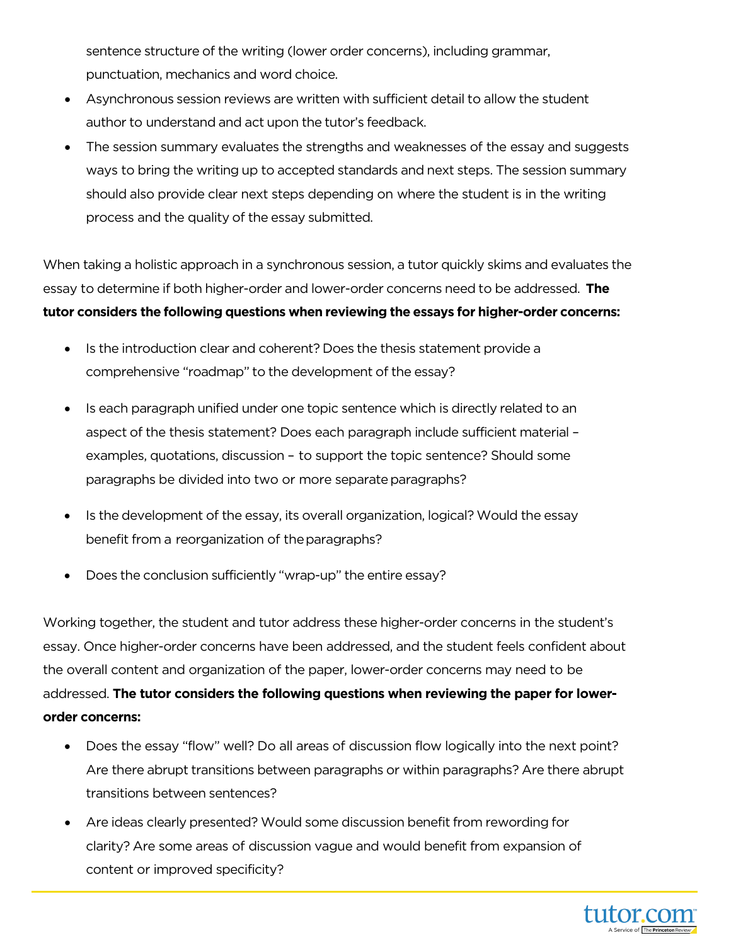sentence structure of the writing (lower order concerns), including grammar, punctuation, mechanics and word choice.

- Asynchronous session reviews are written with sufficient detail to allow the student author to understand and act upon the tutor's feedback.
- The session summary evaluates the strengths and weaknesses of the essay and suggests ways to bring the writing up to accepted standards and next steps. The session summary should also provide clear next steps depending on where the student is in the writing process and the quality of the essay submitted.

When taking a holistic approach in a synchronous session, a tutor quickly skims and evaluates the essay to determine if both higher-order and lower-order concerns need to be addressed. **The tutor considers the following questions when reviewing the essays for higher-order concerns:**

- Is the introduction clear and coherent? Does the thesis statement provide a comprehensive "roadmap" to the development of the essay?
- Is each paragraph unified under one topic sentence which is directly related to an aspect of the thesis statement? Does each paragraph include sufficient material – examples, quotations, discussion – to support the topic sentence? Should some paragraphs be divided into two or more separate paragraphs?
- Is the development of the essay, its overall organization, logical?Would the essay benefit from a reorganization of the paragraphs?
- Does the conclusion sufficiently "wrap-up" the entire essay?

Working together, the student and tutor address these higher-order concerns in the student's essay. Once higher-order concerns have been addressed, and the student feels confident about the overall content and organization of the paper, lower-order concerns may need to be addressed. **The tutor considers the following questions when reviewing the paper for lowerorder concerns:**

- Does the essay "flow" well? Do all areas of discussion flow logically into the next point? Are there abrupt transitions between paragraphs or within paragraphs? Are there abrupt transitions between sentences?
- Are ideas clearly presented? Would some discussion benefit from rewording for clarity? Are some areas of discussion vague and would benefit from expansion of content or improved specificity?